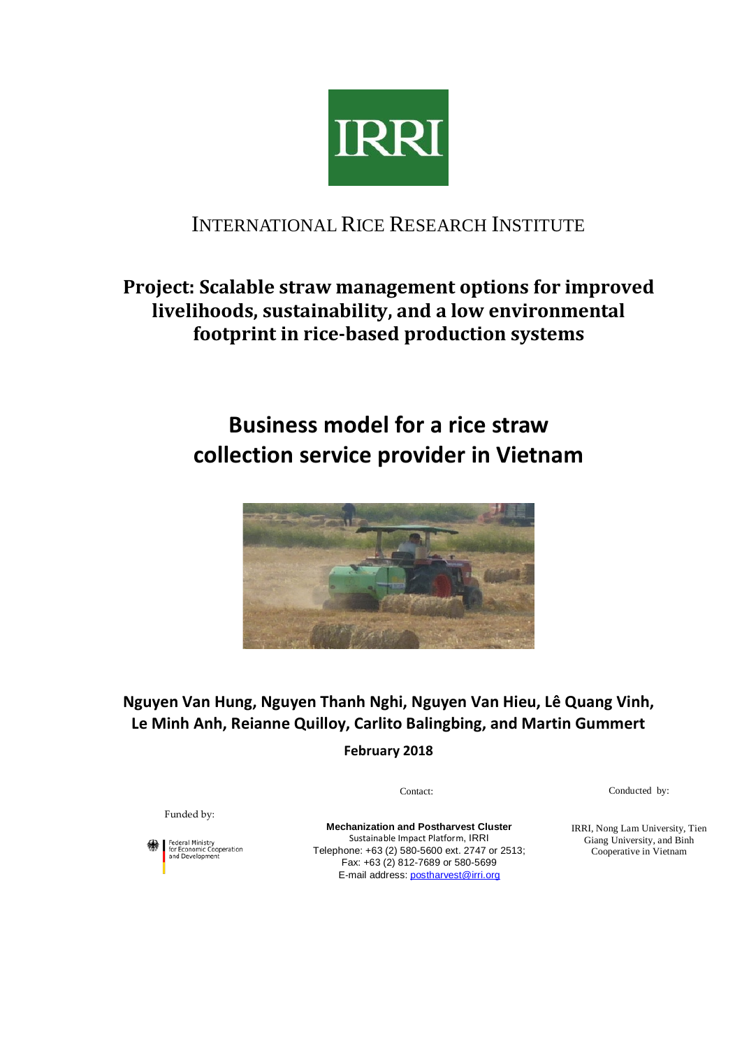

## INTERNATIONAL RICE RESEARCH INSTITUTE

# **Project: Scalable straw management options for improved livelihoods, sustainability, and a low environmental footprint in rice-based production systems**

# **Business model for a rice straw collection service provider in Vietnam**



**Nguyen Van Hung, Nguyen Thanh Nghi, Nguyen Van Hieu, Lê Quang Vinh, Le Minh Anh, Reianne Quilloy, Carlito Balingbing, and Martin Gummert**

**February 2018**

Conducted by:

Funded by:

Federal Ministry<br>for Economic Cooperation<br>and Development

**Mechanization and Postharvest Cluster** Sustainable Impact Platform, IRRI Telephone: +63 (2) 580-5600 ext. 2747 or 2513; Fax: +63 (2) 812-7689 or 580-5699 E-mail address[: postharvest@irri.org](mailto:postharvest@irri.org)

Contact:

IRRI, Nong Lam University, Tien Giang University, and Binh Cooperative in Vietnam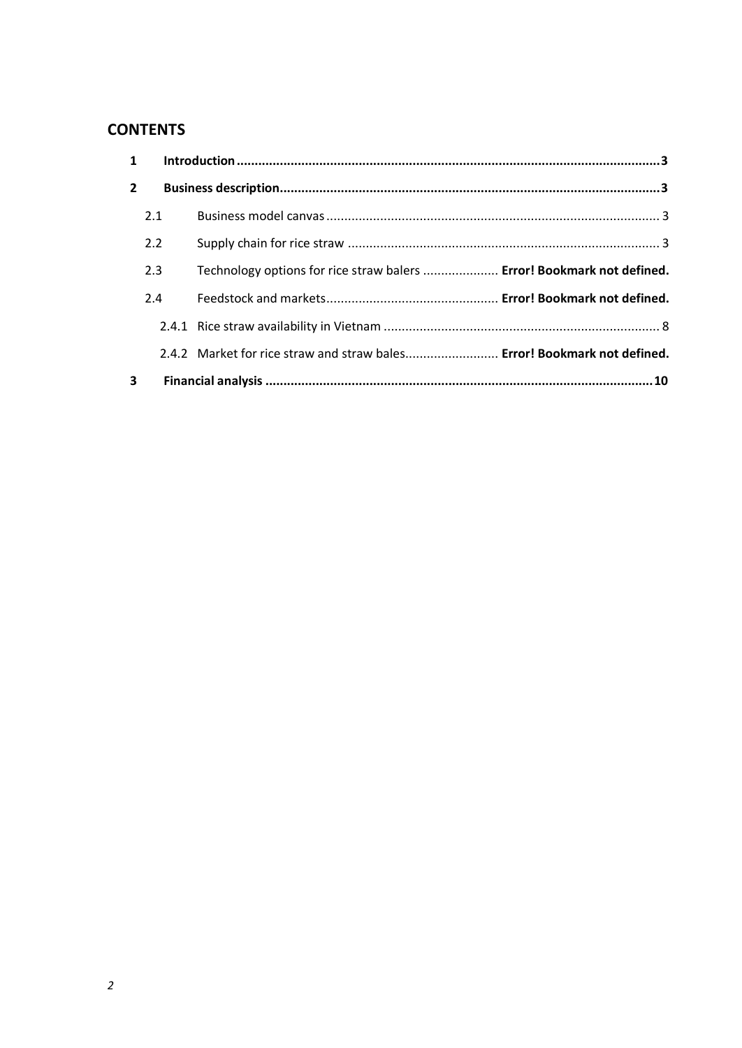## **CONTENTS**

|                         | $1 \quad$ |                                                                          |  |  |
|-------------------------|-----------|--------------------------------------------------------------------------|--|--|
| $\overline{2}$          |           |                                                                          |  |  |
|                         | 2.1       |                                                                          |  |  |
|                         | 2.2       |                                                                          |  |  |
|                         | 2.3       | Technology options for rice straw balers  Error! Bookmark not defined.   |  |  |
|                         | 2.4       |                                                                          |  |  |
|                         |           |                                                                          |  |  |
|                         |           | 2.4.2 Market for rice straw and straw bales Error! Bookmark not defined. |  |  |
| $\overline{\mathbf{3}}$ |           |                                                                          |  |  |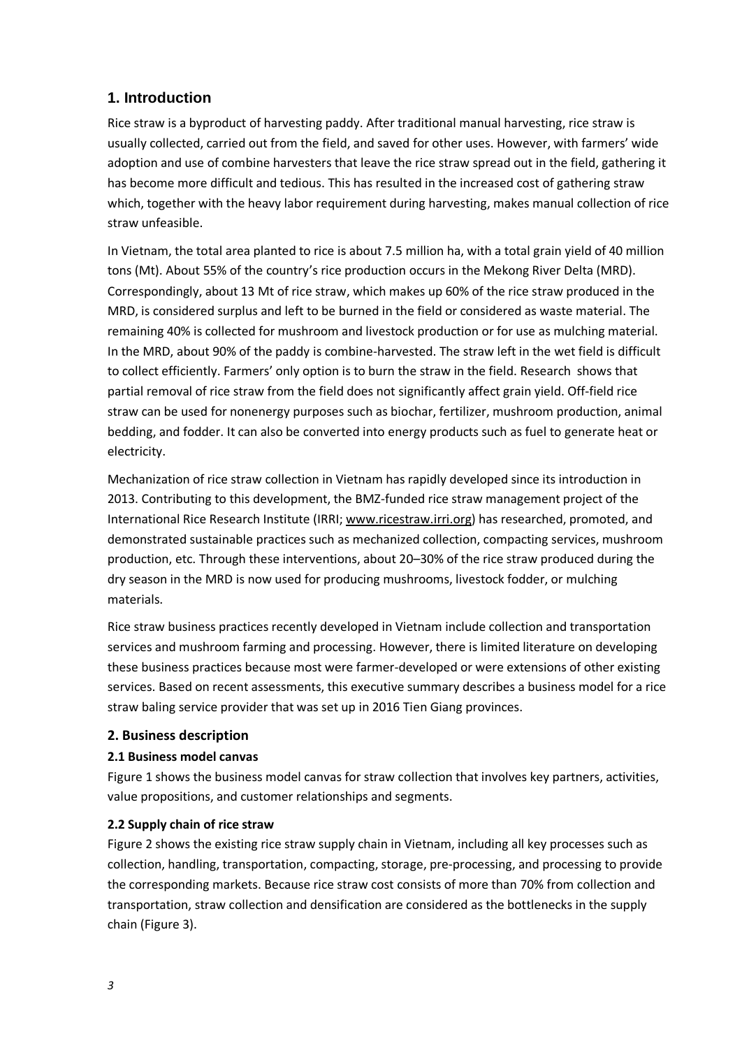#### <span id="page-2-0"></span>**1. Introduction**

Rice straw is a byproduct of harvesting paddy. After traditional manual harvesting, rice straw is usually collected, carried out from the field, and saved for other uses. However, with farmers' wide adoption and use of combine harvesters that leave the rice straw spread out in the field, gathering it has become more difficult and tedious. This has resulted in the increased cost of gathering straw which, together with the heavy labor requirement during harvesting, makes manual collection of rice straw unfeasible.

In Vietnam, the total area planted to rice is about 7.5 million ha, with a total grain yield of 40 million tons (Mt). About 55% of the country's rice production occurs in the Mekong River Delta (MRD). Correspondingly, about 13 Mt of rice straw, which makes up 60% of the rice straw produced in the MRD, is considered surplus and left to be burned in the field or considered as waste material. The remaining 40% is collected for mushroom and livestock production or for use as mulching material. In the MRD, about 90% of the paddy is combine-harvested. The straw left in the wet field is difficult to collect efficiently. Farmers' only option is to burn the straw in the field. Research shows that partial removal of rice straw from the field does not significantly affect grain yield. Off-field rice straw can be used for nonenergy purposes such as biochar, fertilizer, mushroom production, animal bedding, and fodder. It can also be converted into energy products such as fuel to generate heat or electricity.

Mechanization of rice straw collection in Vietnam has rapidly developed since its introduction in 2013. Contributing to this development, the BMZ-funded rice straw management project of the International Rice Research Institute (IRRI; [www.ricestraw.irri.org\)](http://www.ricestraw.irri.org/) has researched, promoted, and demonstrated sustainable practices such as mechanized collection, compacting services, mushroom production, etc. Through these interventions, about 20–30% of the rice straw produced during the dry season in the MRD is now used for producing mushrooms, livestock fodder, or mulching materials.

Rice straw business practices recently developed in Vietnam include collection and transportation services and mushroom farming and processing. However, there is limited literature on developing these business practices because most were farmer-developed or were extensions of other existing services. Based on recent assessments, this executive summary describes a business model for a rice straw baling service provider that was set up in 2016 Tien Giang provinces.

#### <span id="page-2-2"></span><span id="page-2-1"></span>**2. Business description**

#### **2.1 Business model canvas**

Figure 1 shows the business model canvas for straw collection that involves key partners, activities, value propositions, and customer relationships and segments.

#### **2.2 Supply chain of rice straw**

Figure 2 shows the existing rice straw supply chain in Vietnam, including all key processes such as collection, handling, transportation, compacting, storage, pre-processing, and processing to provide the corresponding markets. Because rice straw cost consists of more than 70% from collection and transportation, straw collection and densification are considered as the bottlenecks in the supply chain (Figure 3).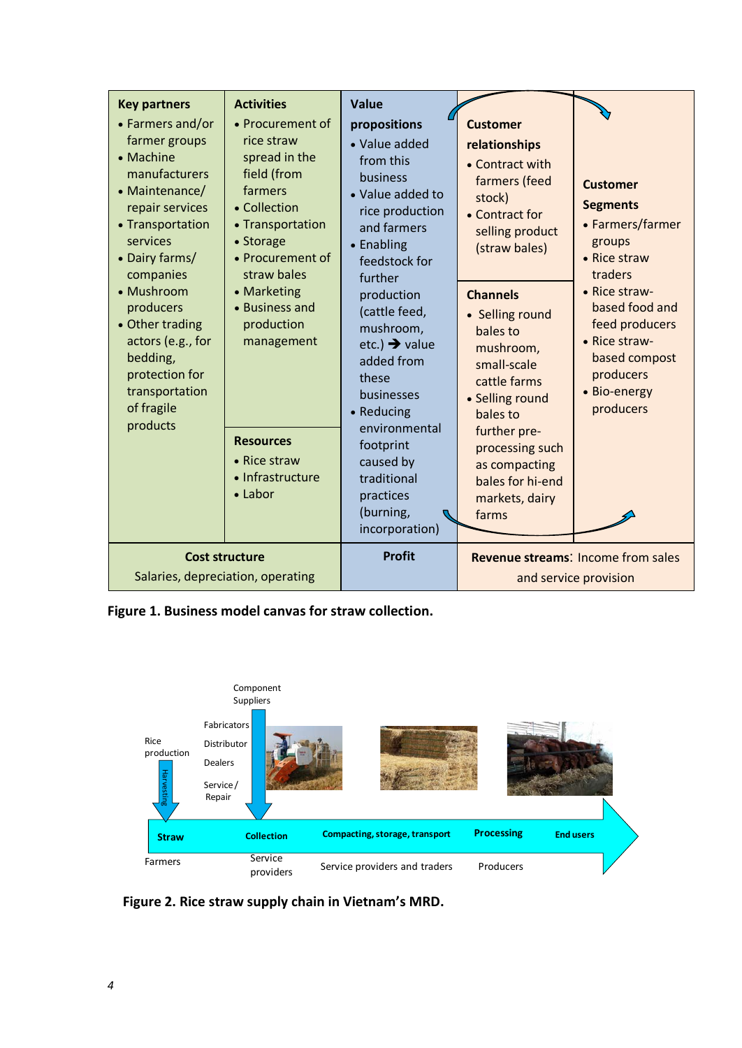| <b>Key partners</b><br>• Farmers and/or<br>farmer groups<br>• Machine<br>manufacturers<br>• Maintenance/<br>repair services<br>• Transportation<br>services<br>• Dairy farms/<br>companies<br>• Mushroom<br>producers<br>• Other trading<br>actors (e.g., for<br>bedding,<br>protection for<br>transportation<br>of fragile<br>products | <b>Activities</b><br>• Procurement of<br>rice straw<br>spread in the<br>field (from<br>farmers<br>• Collection<br>• Transportation<br>• Storage<br>• Procurement of<br>straw bales<br>• Marketing<br>• Business and<br>production<br>management<br><b>Resources</b><br>• Rice straw<br>• Infrastructure<br>$\bullet$ Labor | <b>Value</b><br>propositions<br>• Value added<br>from this<br>business<br>• Value added to<br>rice production<br>and farmers<br>• Enabling<br>feedstock for<br>further<br>production<br>(cattle feed,<br>mushroom,<br>etc.) $\rightarrow$ value<br>added from<br>these<br>businesses<br>• Reducing<br>environmental<br>footprint<br>caused by<br>traditional<br>practices<br>(burning,<br>incorporation) | <b>Customer</b><br>relationships<br>• Contract with<br>farmers (feed<br>stock)<br>• Contract for<br>selling product<br>(straw bales)<br><b>Channels</b><br>• Selling round<br>bales to<br>mushroom,<br>small-scale<br>cattle farms<br>• Selling round<br>bales to<br>further pre-<br>processing such<br>as compacting<br>bales for hi-end<br>markets, dairy<br>farms | <b>Customer</b><br><b>Segments</b><br>• Farmers/farmer<br>groups<br>• Rice straw<br>traders<br>• Rice straw-<br>based food and<br>feed producers<br>• Rice straw-<br>based compost<br>producers<br>• Bio-energy<br>producers |  |  |
|-----------------------------------------------------------------------------------------------------------------------------------------------------------------------------------------------------------------------------------------------------------------------------------------------------------------------------------------|----------------------------------------------------------------------------------------------------------------------------------------------------------------------------------------------------------------------------------------------------------------------------------------------------------------------------|----------------------------------------------------------------------------------------------------------------------------------------------------------------------------------------------------------------------------------------------------------------------------------------------------------------------------------------------------------------------------------------------------------|----------------------------------------------------------------------------------------------------------------------------------------------------------------------------------------------------------------------------------------------------------------------------------------------------------------------------------------------------------------------|------------------------------------------------------------------------------------------------------------------------------------------------------------------------------------------------------------------------------|--|--|
| <b>Cost structure</b><br>Salaries, depreciation, operating                                                                                                                                                                                                                                                                              |                                                                                                                                                                                                                                                                                                                            | <b>Profit</b>                                                                                                                                                                                                                                                                                                                                                                                            |                                                                                                                                                                                                                                                                                                                                                                      | <b>Revenue streams: Income from sales</b><br>and service provision                                                                                                                                                           |  |  |

**Figure 1. Business model canvas for straw collection.**



 **Figure 2. Rice straw supply chain in Vietnam's MRD.**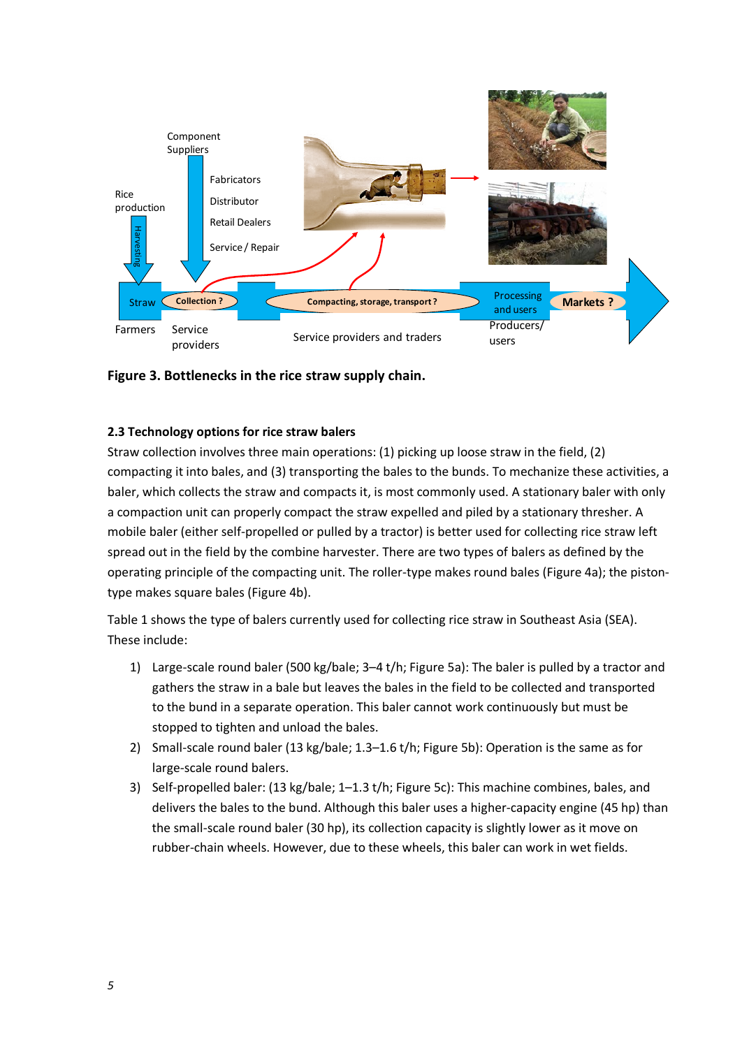

**Figure 3. Bottlenecks in the rice straw supply chain.**

#### **2.3 Technology options for rice straw balers**

Straw collection involves three main operations: (1) picking up loose straw in the field, (2) compacting it into bales, and (3) transporting the bales to the bunds. To mechanize these activities, a baler, which collects the straw and compacts it, is most commonly used. A stationary baler with only a compaction unit can properly compact the straw expelled and piled by a stationary thresher. A mobile baler (either self-propelled or pulled by a tractor) is better used for collecting rice straw left spread out in the field by the combine harvester. There are two types of balers as defined by the operating principle of the compacting unit. The roller-type makes round bales (Figure 4a); the pistontype makes square bales (Figure 4b).

Table 1 shows the type of balers currently used for collecting rice straw in Southeast Asia (SEA). These include:

- 1) Large-scale round baler (500 kg/bale; 3–4 t/h; Figure 5a): The baler is pulled by a tractor and gathers the straw in a bale but leaves the bales in the field to be collected and transported to the bund in a separate operation. This baler cannot work continuously but must be stopped to tighten and unload the bales.
- 2) Small-scale round baler (13 kg/bale; 1.3–1.6 t/h; Figure 5b): Operation is the same as for large-scale round balers.
- 3) Self-propelled baler: (13 kg/bale; 1–1.3 t/h; Figure 5c): This machine combines, bales, and delivers the bales to the bund. Although this baler uses a higher-capacity engine (45 hp) than the small-scale round baler (30 hp), its collection capacity is slightly lower as it move on rubber-chain wheels. However, due to these wheels, this baler can work in wet fields.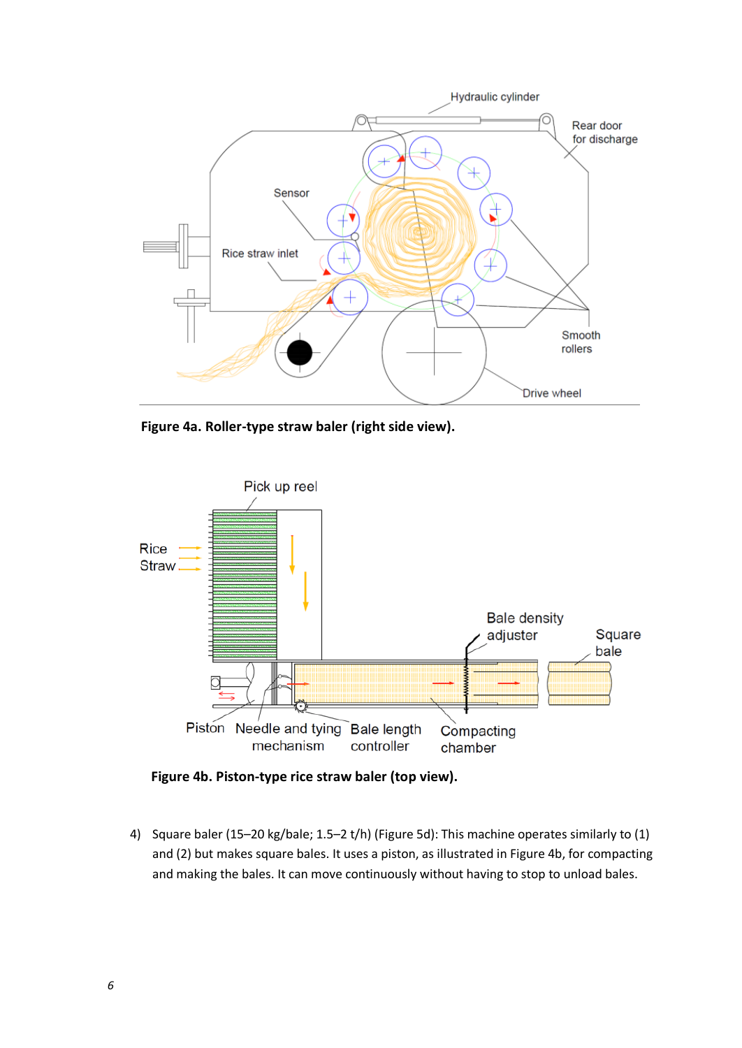

 **Figure 4a. Roller-type straw baler (right side view).**



 **Figure 4b. Piston-type rice straw baler (top view).**

4) Square baler (15–20 kg/bale; 1.5–2 t/h) (Figure 5d): This machine operates similarly to (1) and (2) but makes square bales. It uses a piston, as illustrated in Figure 4b, for compacting and making the bales. It can move continuously without having to stop to unload bales.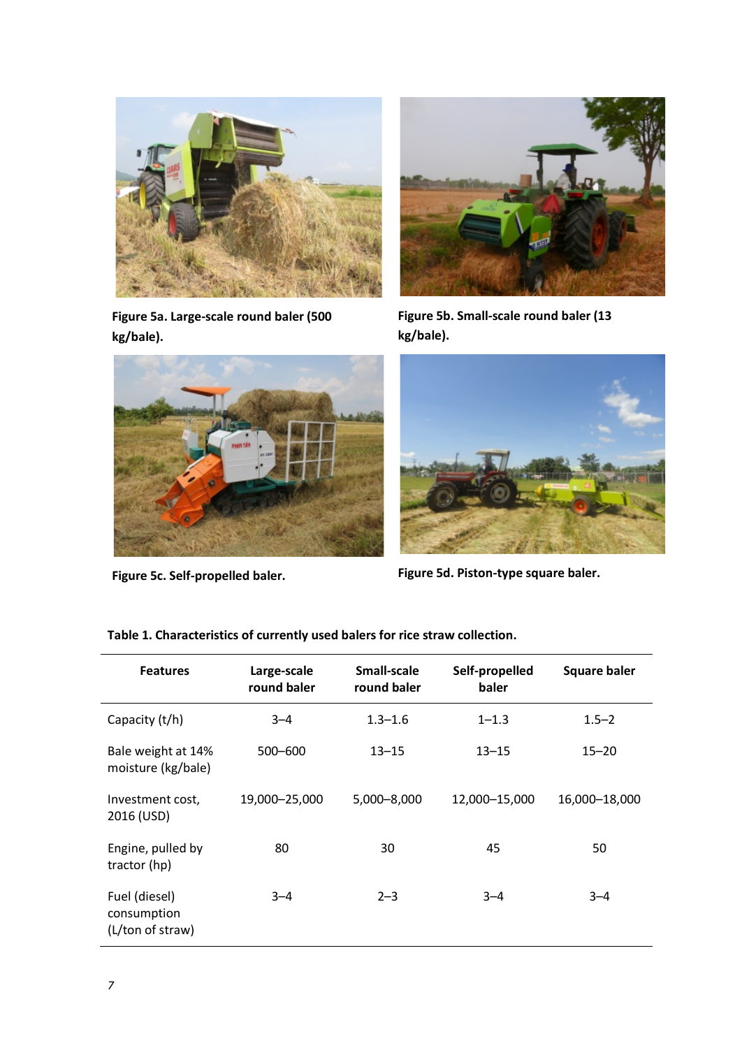

**Figure 5a. Large-scale round baler (500 kg/bale).**



**Figure 5c. Self-propelled baler.**



**Figure 5b. Small-scale round baler (13 kg/bale).**



**Figure 5d. Piston-type square baler.**

| <b>Features</b>                                  | Large-scale<br>round baler | Small-scale<br>round baler | Self-propelled<br>baler | <b>Square baler</b> |  |
|--------------------------------------------------|----------------------------|----------------------------|-------------------------|---------------------|--|
| Capacity (t/h)                                   | $3 - 4$                    | $1.3 - 1.6$                | $1 - 1.3$               | $1.5 - 2$           |  |
| Bale weight at 14%<br>moisture (kg/bale)         | $500 - 600$                | $13 - 15$                  | $13 - 15$               | $15 - 20$           |  |
| Investment cost,<br>2016 (USD)                   | 19,000-25,000              | 5,000-8,000                | 12,000-15,000           | 16,000-18,000       |  |
| Engine, pulled by<br>tractor (hp)                | 80                         | 30                         | 45                      | 50                  |  |
| Fuel (diesel)<br>consumption<br>(L/ton of straw) | $3 - 4$                    | $2 - 3$                    | $3 - 4$                 | $3 - 4$             |  |

**Table 1. Characteristics of currently used balers for rice straw collection.**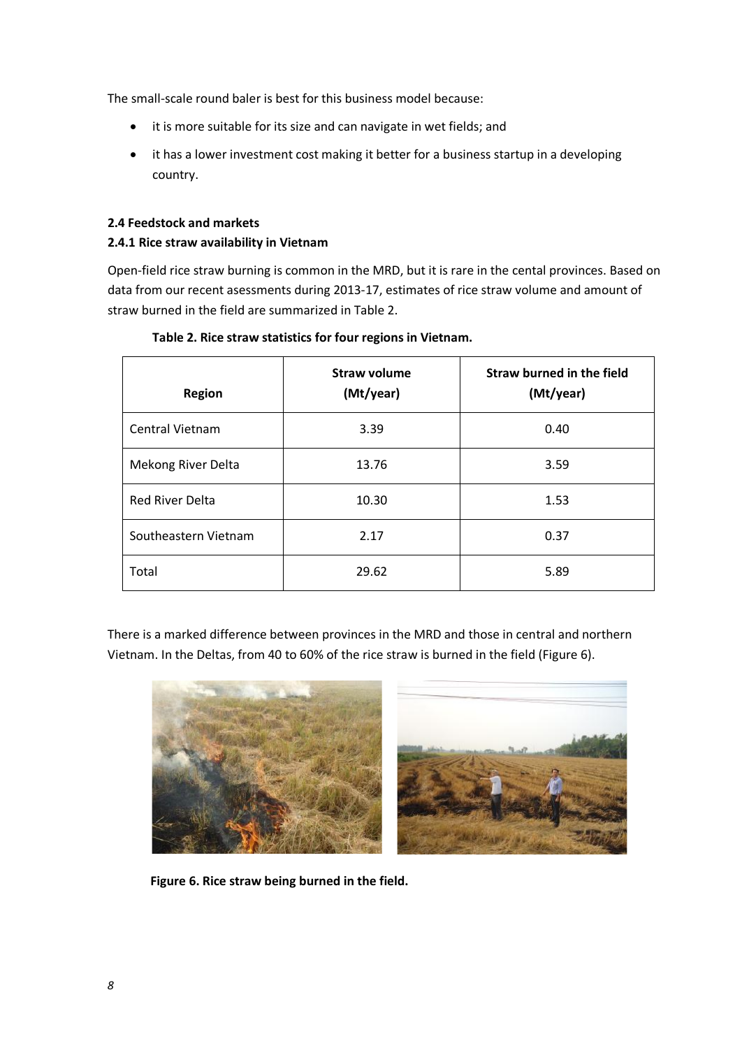The small-scale round baler is best for this business model because:

- it is more suitable for its size and can navigate in wet fields; and
- it has a lower investment cost making it better for a business startup in a developing country.

#### <span id="page-7-0"></span>**2.4 Feedstock and markets**

#### **2.4.1 Rice straw availability in Vietnam**

Open-field rice straw burning is common in the MRD, but it is rare in the cental provinces. Based on data from our recent asessments during 2013-17, estimates of rice straw volume and amount of straw burned in the field are summarized in Table 2.

| <b>Region</b>          | <b>Straw volume</b><br>(Mt/year) | <b>Straw burned in the field</b><br>(Mt/year) |
|------------------------|----------------------------------|-----------------------------------------------|
| <b>Central Vietnam</b> | 3.39                             | 0.40                                          |
| Mekong River Delta     | 13.76                            | 3.59                                          |
| <b>Red River Delta</b> | 10.30                            | 1.53                                          |
| Southeastern Vietnam   | 2.17                             | 0.37                                          |
| Total                  | 29.62                            | 5.89                                          |

#### **Table 2. Rice straw statistics for four regions in Vietnam.**

There is a marked difference between provinces in the MRD and those in central and northern Vietnam. In the Deltas, from 40 to 60% of the rice straw is burned in the field (Figure 6).



 **Figure 6. Rice straw being burned in the field.**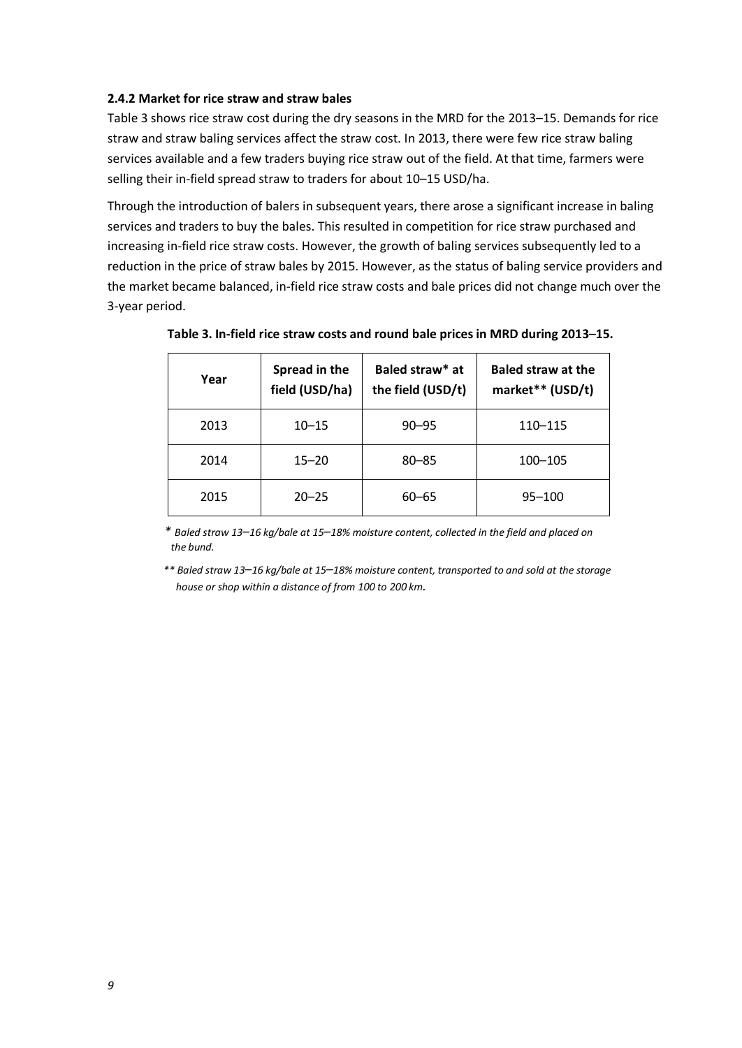#### **2.4.2 Market for rice straw and straw bales**

Table 3 shows rice straw cost during the dry seasons in the MRD for the 2013–15. Demands for rice straw and straw baling services affect the straw cost. In 2013, there were few rice straw baling services available and a few traders buying rice straw out of the field. At that time, farmers were selling their in-field spread straw to traders for about 10–15 USD/ha.

Through the introduction of balers in subsequent years, there arose a significant increase in baling services and traders to buy the bales. This resulted in competition for rice straw purchased and increasing in-field rice straw costs. However, the growth of baling services subsequently led to a reduction in the price of straw bales by 2015. However, as the status of baling service providers and the market became balanced, in-field rice straw costs and bale prices did not change much over the 3-year period.

| Year | Spread in the<br>field (USD/ha) | Baled straw* at<br>the field (USD/t) | <b>Baled straw at the</b><br>market** (USD/t) |
|------|---------------------------------|--------------------------------------|-----------------------------------------------|
| 2013 | $10 - 15$                       | $90 - 95$                            | 110-115                                       |
| 2014 | $15 - 20$                       | $80 - 85$                            | $100 - 105$                                   |
| 2015 | $20 - 25$                       | $60 - 65$                            | $95 - 100$                                    |

**Table 3. In-field rice straw costs and round bale prices in MRD during 2013**–**15.**

 *\* Baled straw 13*–*16 kg/bale at 15*–*18% moisture content, collected in the field and placed on the bund.*

<span id="page-8-0"></span> *\*\* Baled straw 13*–*16 kg/bale at 15*–*18% moisture content, transported to and sold at the storage house or shop within a distance of from 100 to 200 km.*